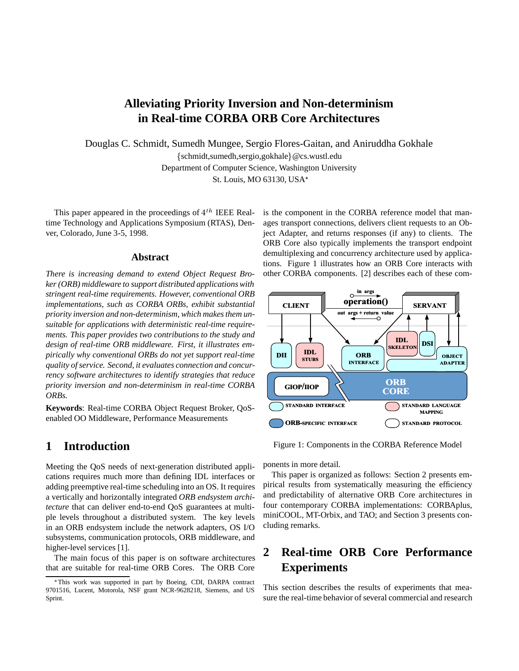# **Alleviating Priority Inversion and Non-determinism in Real-time CORBA ORB Core Architectures**

Douglas C. Schmidt, Sumedh Mungee, Sergio Flores-Gaitan, and Aniruddha Gokhale

 $\{schmidt, sumedh, sergio, gokhale\} @cs.wustledu$ Department of Computer Science, Washington University St. Louis, MO 63130, USA

This paper appeared in the proceedings of  $4^{th}$  IEEE Realtime Technology and Applications Symposium (RTAS), Denver, Colorado, June 3-5, 1998.

#### **Abstract**

*There is increasing demand to extend Object Request Broker (ORB) middleware to support distributed applications with stringent real-time requirements. However, conventional ORB implementations, such as CORBA ORBs, exhibit substantial priority inversion and non-determinism, which makes them unsuitable for applications with deterministic real-time requirements. This paper provides two contributions to the study and design of real-time ORB middleware. First, it illustrates empirically why conventional ORBs do not yet support real-time quality of service. Second, it evaluates connection and concurrency software architectures to identify strategies that reduce priority inversion and non-determinism in real-time CORBA ORBs.*

**Keywords**: Real-time CORBA Object Request Broker, QoSenabled OO Middleware, Performance Measurements

## **1 Introduction**

Meeting the QoS needs of next-generation distributed applications requires much more than defining IDL interfaces or adding preemptive real-time scheduling into an OS. It requires a vertically and horizontally integrated *ORB endsystem architecture* that can deliver end-to-end QoS guarantees at multiple levels throughout a distributed system. The key levels in an ORB endsystem include the network adapters, OS I/O subsystems, communication protocols, ORB middleware, and higher-level services [1].

The main focus of this paper is on software architectures that are suitable for real-time ORB Cores. The ORB Core is the component in the CORBA reference model that manages transport connections, delivers client requests to an Object Adapter, and returns responses (if any) to clients. The ORB Core also typically implements the transport endpoint demultiplexing and concurrency architecture used by applications. Figure 1 illustrates how an ORB Core interacts with other CORBA components. [2] describes each of these com-



Figure 1: Components in the CORBA Reference Model

ponents in more detail.

This paper is organized as follows: Section 2 presents empirical results from systematically measuring the efficiency and predictability of alternative ORB Core architectures in four contemporary CORBA implementations: CORBAplus, miniCOOL, MT-Orbix, and TAO; and Section 3 presents concluding remarks.

# **2 Real-time ORB Core Performance Experiments**

This section describes the results of experiments that measure the real-time behavior of several commercial and research

This work was supported in part by Boeing, CDI, DARPA contract 9701516, Lucent, Motorola, NSF grant NCR-9628218, Siemens, and US Sprint.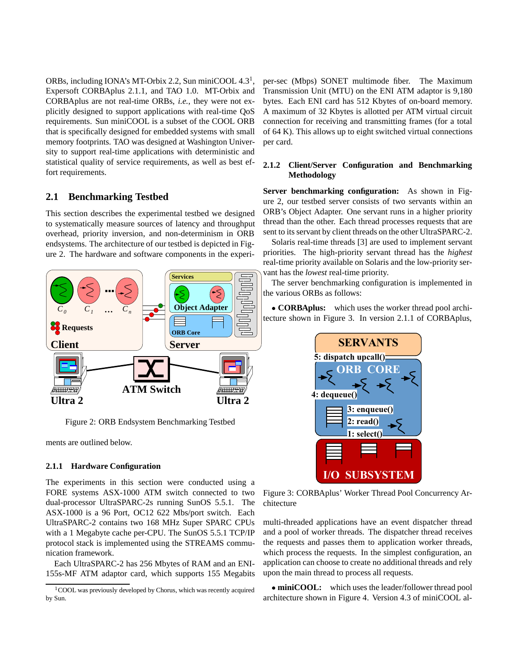ORBs, including IONA's MT-Orbix 2.2, Sun miniCOOL 4.3<sup>1</sup>, Expersoft CORBAplus 2.1.1, and TAO 1.0. MT-Orbix and CORBAplus are not real-time ORBs, *i.e.*, they were not explicitly designed to support applications with real-time QoS requirements. Sun miniCOOL is a subset of the COOL ORB that is specifically designed for embedded systems with small memory footprints. TAO was designed at Washington University to support real-time applications with deterministic and statistical quality of service requirements, as well as best effort requirements.

### **2.1 Benchmarking Testbed**

This section describes the experimental testbed we designed to systematically measure sources of latency and throughput overhead, priority inversion, and non-determinism in ORB endsystems. The architecture of our testbed is depicted in Figure 2. The hardware and software components in the experi-



Figure 2: ORB Endsystem Benchmarking Testbed

ments are outlined below.

#### **2.1.1 Hardware Configuration**

The experiments in this section were conducted using a FORE systems ASX-1000 ATM switch connected to two dual-processor UltraSPARC-2s running SunOS 5.5.1. The ASX-1000 is a 96 Port, OC12 622 Mbs/port switch. Each UltraSPARC-2 contains two 168 MHz Super SPARC CPUs with a 1 Megabyte cache per-CPU. The SunOS 5.5.1 TCP/IP protocol stack is implemented using the STREAMS communication framework.

Each UltraSPARC-2 has 256 Mbytes of RAM and an ENI-155s-MF ATM adaptor card, which supports 155 Megabits per-sec (Mbps) SONET multimode fiber. The Maximum Transmission Unit (MTU) on the ENI ATM adaptor is 9,180 bytes. Each ENI card has 512 Kbytes of on-board memory. A maximum of 32 Kbytes is allotted per ATM virtual circuit connection for receiving and transmitting frames (for a total of 64 K). This allows up to eight switched virtual connections per card.

#### **2.1.2 Client/Server Configuration and Benchmarking Methodology**

**Server benchmarking configuration:** As shown in Figure 2, our testbed server consists of two servants within an ORB's Object Adapter. One servant runs in a higher priority thread than the other. Each thread processes requests that are sent to its servant by client threads on the other UltraSPARC-2.

Solaris real-time threads [3] are used to implement servant priorities. The high-priority servant thread has the *highest* real-time priority available on Solaris and the low-priority servant has the *lowest* real-time priority.

The server benchmarking configuration is implemented in the various ORBs as follows:

 **CORBAplus:** which uses the worker thread pool architecture shown in Figure 3. In version 2.1.1 of CORBAplus,



Figure 3: CORBAplus' Worker Thread Pool Concurrency Architecture

multi-threaded applications have an event dispatcher thread and a pool of worker threads. The dispatcher thread receives the requests and passes them to application worker threads, which process the requests. In the simplest configuration, an application can choose to create no additional threads and rely upon the main thread to process all requests.

 **miniCOOL:** which uses the leader/follower thread pool architecture shown in Figure 4. Version 4.3 of miniCOOL al-

 $1$ COOL was previously developed by Chorus, which was recently acquired by Sun.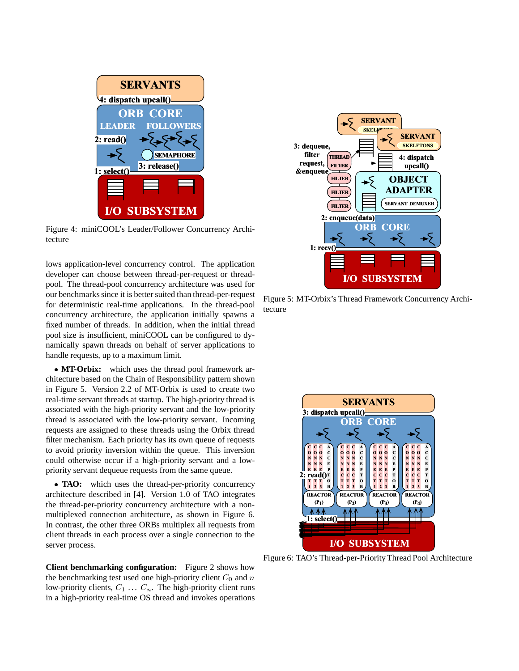

Figure 4: miniCOOL's Leader/Follower Concurrency Architecture

lows application-level concurrency control. The application developer can choose between thread-per-request or threadpool. The thread-pool concurrency architecture was used for our benchmarks since it is better suited than thread-per-request for deterministic real-time applications. In the thread-pool concurrency architecture, the application initially spawns a fixed number of threads. In addition, when the initial thread pool size is insufficient, miniCOOL can be configured to dynamically spawn threads on behalf of server applications to handle requests, up to a maximum limit.

 **MT-Orbix:** which uses the thread pool framework architecture based on the Chain of Responsibility pattern shown in Figure 5. Version 2.2 of MT-Orbix is used to create two real-time servant threads at startup. The high-priority thread is associated with the high-priority servant and the low-priority thread is associated with the low-priority servant. Incoming requests are assigned to these threads using the Orbix thread filter mechanism. Each priority has its own queue of requests to avoid priority inversion within the queue. This inversion could otherwise occur if a high-priority servant and a lowpriority servant dequeue requests from the same queue.

 **TAO:** which uses the thread-per-priority concurrency architecture described in [4]. Version 1.0 of TAO integrates the thread-per-priority concurrency architecture with a nonmultiplexed connection architecture, as shown in Figure 6. In contrast, the other three ORBs multiplex all requests from client threads in each process over a single connection to the server process.

**Client benchmarking configuration:** Figure 2 shows how the benchmarking test used one high-priority client  $C_0$  and n low-priority clients,  $C_1 \ldots C_n$ . The high-priority client runs in a high-priority real-time OS thread and invokes operations



Figure 5: MT-Orbix's Thread Framework Concurrency Architecture



Figure 6: TAO's Thread-per-Priority Thread Pool Architecture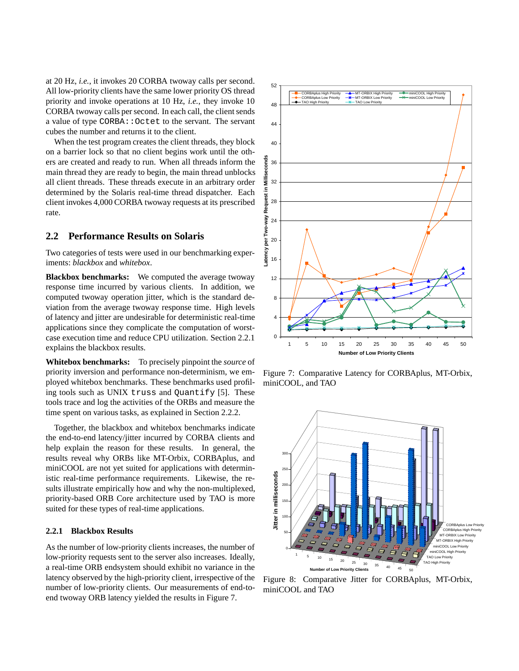at 20 Hz, *i.e.*, it invokes 20 CORBA twoway calls per second. All low-priority clients have the same lower priority OS thread priority and invoke operations at 10 Hz, *i.e.*, they invoke 10 CORBA twoway calls per second. In each call, the client sends a value of type CORBA::Octet to the servant. The servant cubes the number and returns it to the client.

When the test program creates the client threads, they block on a barrier lock so that no client begins work until the others are created and ready to run. When all threads inform the main thread they are ready to begin, the main thread unblocks all client threads. These threads execute in an arbitrary order determined by the Solaris real-time thread dispatcher. Each client invokes 4,000 CORBA twoway requests at its prescribed rate.

#### **2.2 Performance Results on Solaris**

Two categories of tests were used in our benchmarking experiments: *blackbox* and *whitebox*.

**Blackbox benchmarks:** We computed the average twoway response time incurred by various clients. In addition, we computed twoway operation jitter, which is the standard deviation from the average twoway response time. High levels of latency and jitter are undesirable for deterministic real-time applications since they complicate the computation of worstcase execution time and reduce CPU utilization. Section 2.2.1 explains the blackbox results.

**Whitebox benchmarks:** To precisely pinpoint the *source* of priority inversion and performance non-determinism, we employed whitebox benchmarks. These benchmarks used profiling tools such as UNIX truss and Quantify [5]. These tools trace and log the activities of the ORBs and measure the time spent on various tasks, as explained in Section 2.2.2.

Together, the blackbox and whitebox benchmarks indicate the end-to-end latency/jitter incurred by CORBA clients and help explain the reason for these results. In general, the results reveal why ORBs like MT-Orbix, CORBAplus, and miniCOOL are not yet suited for applications with deterministic real-time performance requirements. Likewise, the results illustrate empirically how and why the non-multiplexed, priority-based ORB Core architecture used by TAO is more suited for these types of real-time applications.

#### **2.2.1 Blackbox Results**

As the number of low-priority clients increases, the number of low-priority requests sent to the server also increases. Ideally, a real-time ORB endsystem should exhibit no variance in the latency observed by the high-priority client, irrespective of the number of low-priority clients. Our measurements of end-toend twoway ORB latency yielded the results in Figure 7.



Figure 7: Comparative Latency for CORBAplus, MT-Orbix, miniCOOL, and TAO



Figure 8: Comparative Jitter for CORBAplus, MT-Orbix, miniCOOL and TAO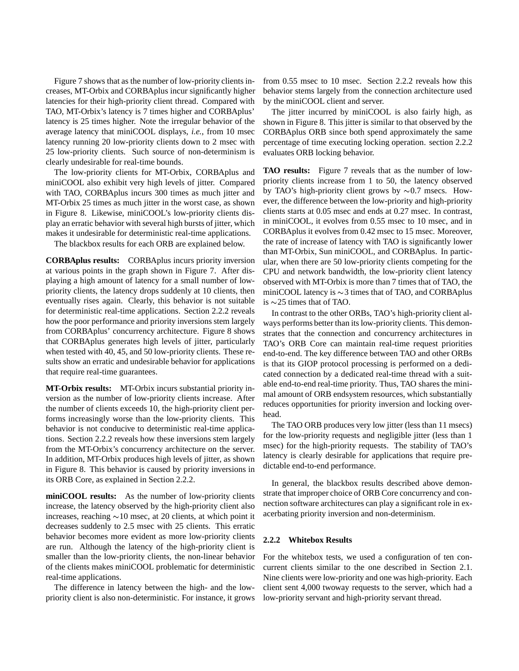Figure 7 shows that as the number of low-priority clients increases, MT-Orbix and CORBAplus incur significantly higher latencies for their high-priority client thread. Compared with TAO, MT-Orbix's latency is 7 times higher and CORBAplus' latency is 25 times higher. Note the irregular behavior of the average latency that miniCOOL displays, *i.e.*, from 10 msec latency running 20 low-priority clients down to 2 msec with 25 low-priority clients. Such source of non-determinism is clearly undesirable for real-time bounds.

The low-priority clients for MT-Orbix, CORBAplus and miniCOOL also exhibit very high levels of jitter. Compared with TAO, CORBAplus incurs 300 times as much jitter and MT-Orbix 25 times as much jitter in the worst case, as shown in Figure 8. Likewise, miniCOOL's low-priority clients display an erratic behavior with several high bursts of jitter, which makes it undesirable for deterministic real-time applications.

The blackbox results for each ORB are explained below.

**CORBAplus results:** CORBAplus incurs priority inversion at various points in the graph shown in Figure 7. After displaying a high amount of latency for a small number of lowpriority clients, the latency drops suddenly at 10 clients, then eventually rises again. Clearly, this behavior is not suitable for deterministic real-time applications. Section 2.2.2 reveals how the poor performance and priority inversions stem largely from CORBAplus' concurrency architecture. Figure 8 shows that CORBAplus generates high levels of jitter, particularly when tested with 40, 45, and 50 low-priority clients. These results show an erratic and undesirable behavior for applications that require real-time guarantees.

**MT-Orbix results:** MT-Orbix incurs substantial priority inversion as the number of low-priority clients increase. After the number of clients exceeds 10, the high-priority client performs increasingly worse than the low-priority clients. This behavior is not conducive to deterministic real-time applications. Section 2.2.2 reveals how these inversions stem largely from the MT-Orbix's concurrency architecture on the server. In addition, MT-Orbix produces high levels of jitter, as shown in Figure 8. This behavior is caused by priority inversions in its ORB Core, as explained in Section 2.2.2.

**miniCOOL results:** As the number of low-priority clients increase, the latency observed by the high-priority client also increases, reaching  $\sim$ 10 msec, at 20 clients, at which point it decreases suddenly to 2.5 msec with 25 clients. This erratic behavior becomes more evident as more low-priority clients are run. Although the latency of the high-priority client is smaller than the low-priority clients, the non-linear behavior of the clients makes miniCOOL problematic for deterministic real-time applications.

The difference in latency between the high- and the lowpriority client is also non-deterministic. For instance, it grows from 0.55 msec to 10 msec. Section 2.2.2 reveals how this behavior stems largely from the connection architecture used by the miniCOOL client and server.

The jitter incurred by miniCOOL is also fairly high, as shown in Figure 8. This jitter is similar to that observed by the CORBAplus ORB since both spend approximately the same percentage of time executing locking operation. section 2.2.2 evaluates ORB locking behavior.

**TAO results:** Figure 7 reveals that as the number of lowpriority clients increase from 1 to 50, the latency observed by TAO's high-priority client grows by  $\sim 0.7$  msecs. However, the difference between the low-priority and high-priority clients starts at 0.05 msec and ends at 0.27 msec. In contrast, in miniCOOL, it evolves from 0.55 msec to 10 msec, and in CORBAplus it evolves from 0.42 msec to 15 msec. Moreover, the rate of increase of latency with TAO is significantly lower than MT-Orbix, Sun miniCOOL, and CORBAplus. In particular, when there are 50 low-priority clients competing for the CPU and network bandwidth, the low-priority client latency observed with MT-Orbix is more than 7 times that of TAO, the miniCOOL latency is  $\sim$ 3 times that of TAO, and CORBAplus is  $\sim$ 25 times that of TAO.

In contrast to the other ORBs, TAO's high-priority client always performs better than its low-priority clients. This demonstrates that the connection and concurrency architectures in TAO's ORB Core can maintain real-time request priorities end-to-end. The key difference between TAO and other ORBs is that its GIOP protocol processing is performed on a dedicated connection by a dedicated real-time thread with a suitable end-to-end real-time priority. Thus, TAO shares the minimal amount of ORB endsystem resources, which substantially reduces opportunities for priority inversion and locking overhead.

The TAO ORB produces very low jitter (less than 11 msecs) for the low-priority requests and negligible jitter (less than 1 msec) for the high-priority requests. The stability of TAO's latency is clearly desirable for applications that require predictable end-to-end performance.

In general, the blackbox results described above demonstrate that improper choice of ORB Core concurrency and connection software architectures can play a significant role in exacerbating priority inversion and non-determinism.

#### **2.2.2 Whitebox Results**

For the whitebox tests, we used a configuration of ten concurrent clients similar to the one described in Section 2.1. Nine clients were low-priority and one was high-priority. Each client sent 4,000 twoway requests to the server, which had a low-priority servant and high-priority servant thread.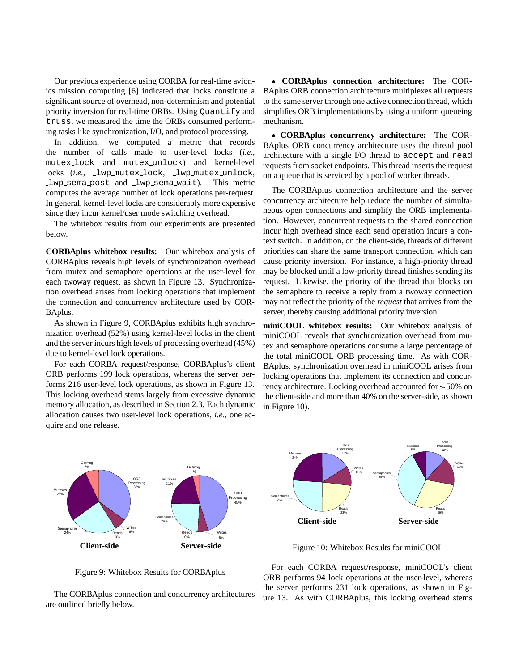Our previous experience using CORBA for real-time avionics mission computing [6] indicated that locks constitute a significant source of overhead, non-determinism and potential priority inversion for real-time ORBs. Using Quantify and truss, we measured the time the ORBs consumed performing tasks like synchronization, I/O, and protocol processing.

In addition, we computed a metric that records the number of calls made to user-level locks (*i.e.*, mutex lock and mutex unlock) and kernel-level locks (*i.e.*, lwp mutex lock, lwp mutex unlock, lwp sema post and lwp sema wait). This metric computes the average number of lock operations per-request. In general, kernel-level locks are considerably more expensive since they incur kernel/user mode switching overhead.

The whitebox results from our experiments are presented below.

**CORBAplus whitebox results:** Our whitebox analysis of CORBAplus reveals high levels of synchronization overhead from mutex and semaphore operations at the user-level for each twoway request, as shown in Figure 13. Synchronization overhead arises from locking operations that implement the connection and concurrency architecture used by COR-BAplus.

As shown in Figure 9, CORBAplus exhibits high synchronization overhead (52%) using kernel-level locks in the client and the server incurs high levels of processing overhead (45%) due to kernel-level lock operations.

For each CORBA request/response, CORBAplus's client ORB performs 199 lock operations, whereas the server performs 216 user-level lock operations, as shown in Figure 13. This locking overhead stems largely from excessive dynamic memory allocation, as described in Section 2.3. Each dynamic allocation causes two user-level lock operations, *i.e.*, one acquire and one release.

 **CORBAplus connection architecture:** The COR-BAplus ORB connection architecture multiplexes all requests to the same server through one active connection thread, which simplifies ORB implementations by using a uniform queueing mechanism.

 **CORBAplus concurrency architecture:** The COR-BAplus ORB concurrency architecture uses the thread pool architecture with a single I/O thread to accept and read requests from socket endpoints. This thread inserts the request on a queue that is serviced by a pool of worker threads.

The CORBAplus connection architecture and the server concurrency architecture help reduce the number of simultaneous open connections and simplify the ORB implementation. However, concurrent requests to the shared connection incur high overhead since each send operation incurs a context switch. In addition, on the client-side, threads of different priorities can share the same transport connection, which can cause priority inversion. For instance, a high-priority thread may be blocked until a low-priority thread finishes sending its request. Likewise, the priority of the thread that blocks on the semaphore to receive a reply from a twoway connection may not reflect the priority of the *request* that arrives from the server, thereby causing additional priority inversion.

**miniCOOL whitebox results:** Our whitebox analysis of miniCOOL reveals that synchronization overhead from mutex and semaphore operations consume a large percentage of the total miniCOOL ORB processing time. As with COR-BAplus, synchronization overhead in miniCOOL arises from locking operations that implement its connection and concurrency architecture. Locking overhead accounted for  $\sim$  50% on the client-side and more than 40% on the server-side, as shown in Figure 10).





ORB

Getmsg 4%

Mutexes 21%

ORB Processing 35%

Getmsg 7%

Mutexes 28%

Figure 10: Whitebox Results for miniCOOL

Figure 9: Whitebox Results for CORBAplus

The CORBAplus connection and concurrency architectures are outlined briefly below.

For each CORBA request/response, miniCOOL's client ORB performs 94 lock operations at the user-level, whereas the server performs 231 lock operations, as shown in Figure 13. As with CORBAplus, this locking overhead stems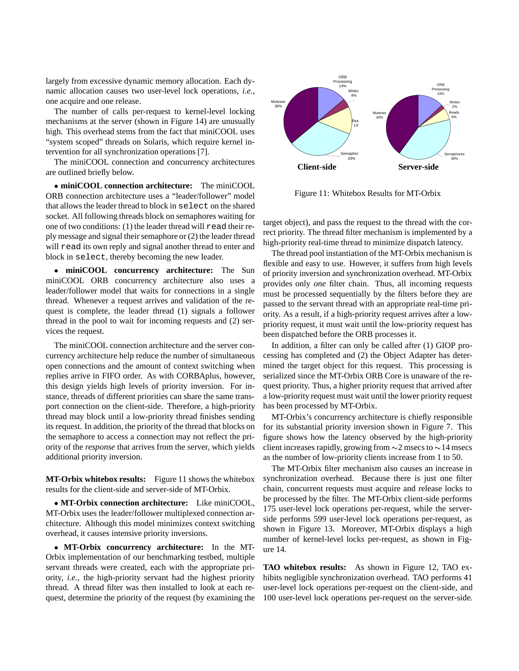largely from excessive dynamic memory allocation. Each dynamic allocation causes two user-level lock operations, *i.e.*, one acquire and one release.

The number of calls per-request to kernel-level locking mechanisms at the server (shown in Figure 14) are unusually high. This overhead stems from the fact that miniCOOL uses "system scoped" threads on Solaris, which require kernel intervention for all synchronization operations [7].

The miniCOOL connection and concurrency architectures are outlined briefly below.

 **miniCOOL connection architecture:** The miniCOOL ORB connection architecture uses a "leader/follower" model that allows the leader thread to block in select on the shared socket. All following threads block on semaphores waiting for one of two conditions: (1) the leader thread will read their reply message and signal their semaphore or (2) the leader thread will read its own reply and signal another thread to enter and block in select, thereby becoming the new leader.

 **miniCOOL concurrency architecture:** The Sun miniCOOL ORB concurrency architecture also uses a leader/follower model that waits for connections in a single thread. Whenever a request arrives and validation of the request is complete, the leader thread (1) signals a follower thread in the pool to wait for incoming requests and (2) services the request.

The miniCOOL connection architecture and the server concurrency architecture help reduce the number of simultaneous open connections and the amount of context switching when replies arrive in FIFO order. As with CORBAplus, however, this design yields high levels of priority inversion. For instance, threads of different priorities can share the same transport connection on the client-side. Therefore, a high-priority thread may block until a low-priority thread finishes sending its request. In addition, the priority of the thread that blocks on the semaphore to access a connection may not reflect the priority of the *response* that arrives from the server, which yields additional priority inversion.

**MT-Orbix whitebox results:** Figure 11 shows the whitebox results for the client-side and server-side of MT-Orbix.

 **MT-Orbix connection architecture:** Like miniCOOL, MT-Orbix uses the leader/follower multiplexed connection architecture. Although this model minimizes context switching overhead, it causes intensive priority inversions.

 **MT-Orbix concurrency architecture:** In the MT-Orbix implementation of our benchmarking testbed, multiple servant threads were created, each with the appropriate priority, *i.e.*, the high-priority servant had the highest priority thread. A thread filter was then installed to look at each request, determine the priority of the request (by examining the



Figure 11: Whitebox Results for MT-Orbix

target object), and pass the request to the thread with the correct priority. The thread filter mechanism is implemented by a high-priority real-time thread to minimize dispatch latency.

The thread pool instantiation of the MT-Orbix mechanism is flexible and easy to use. However, it suffers from high levels of priority inversion and synchronization overhead. MT-Orbix provides only *one* filter chain. Thus, all incoming requests must be processed sequentially by the filters before they are passed to the servant thread with an appropriate real-time priority. As a result, if a high-priority request arrives after a lowpriority request, it must wait until the low-priority request has been dispatched before the ORB processes it.

In addition, a filter can only be called after (1) GIOP processing has completed and (2) the Object Adapter has determined the target object for this request. This processing is serialized since the MT-Orbix ORB Core is unaware of the request priority. Thus, a higher priority request that arrived after a low-priority request must wait until the lower priority request has been processed by MT-Orbix.

MT-Orbix's concurrency architecture is chiefly responsible for its substantial priority inversion shown in Figure 7. This figure shows how the latency observed by the high-priority client increases rapidly, growing from  $\sim$  2 msecs to  $\sim$  14 msecs as the number of low-priority clients increase from 1 to 50.

The MT-Orbix filter mechanism also causes an increase in synchronization overhead. Because there is just one filter chain, concurrent requests must acquire and release locks to be processed by the filter. The MT-Orbix client-side performs 175 user-level lock operations per-request, while the serverside performs 599 user-level lock operations per-request, as shown in Figure 13. Moreover, MT-Orbix displays a high number of kernel-level locks per-request, as shown in Figure 14.

**TAO whitebox results:** As shown in Figure 12, TAO exhibits negligible synchronization overhead. TAO performs 41 user-level lock operations per-request on the client-side, and 100 user-level lock operations per-request on the server-side.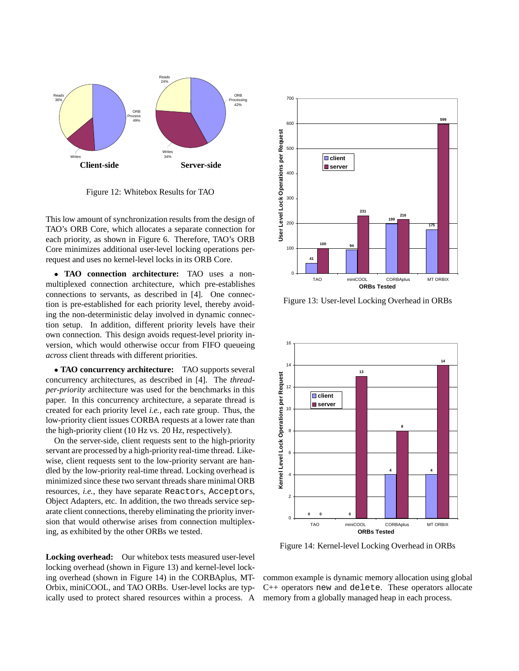

Figure 12: Whitebox Results for TAO

This low amount of synchronization results from the design of TAO's ORB Core, which allocates a separate connection for each priority, as shown in Figure 6. Therefore, TAO's ORB Core minimizes additional user-level locking operations perrequest and uses no kernel-level locks in its ORB Core.

 **TAO connection architecture:** TAO uses a nonmultiplexed connection architecture, which pre-establishes connections to servants, as described in [4]. One connection is pre-established for each priority level, thereby avoiding the non-deterministic delay involved in dynamic connection setup. In addition, different priority levels have their own connection. This design avoids request-level priority inversion, which would otherwise occur from FIFO queueing *across* client threads with different priorities.

 **TAO concurrency architecture:** TAO supports several concurrency architectures, as described in [4]. The *threadper-priority* architecture was used for the benchmarks in this paper. In this concurrency architecture, a separate thread is created for each priority level *i.e.*, each rate group. Thus, the low-priority client issues CORBA requests at a lower rate than the high-priority client (10 Hz vs. 20 Hz, respectively).

On the server-side, client requests sent to the high-priority servant are processed by a high-priority real-time thread. Likewise, client requests sent to the low-priority servant are handled by the low-priority real-time thread. Locking overhead is minimized since these two servant threads share minimal ORB resources, *i.e.*, they have separate Reactors, Acceptors, Object Adapters, etc. In addition, the two threads service separate client connections, thereby eliminating the priority inversion that would otherwise arises from connection multiplexing, as exhibited by the other ORBs we tested.

**Locking overhead:** Our whitebox tests measured user-level locking overhead (shown in Figure 13) and kernel-level locking overhead (shown in Figure 14) in the CORBAplus, MT-Orbix, miniCOOL, and TAO ORBs. User-level locks are typically used to protect shared resources within a process. A



Figure 13: User-level Locking Overhead in ORBs



Figure 14: Kernel-level Locking Overhead in ORBs

common example is dynamic memory allocation using global C++ operators new and delete. These operators allocate memory from a globally managed heap in each process.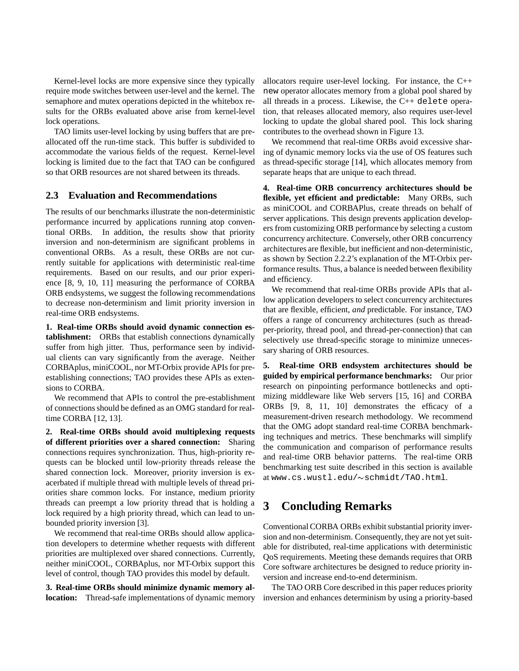Kernel-level locks are more expensive since they typically require mode switches between user-level and the kernel. The semaphore and mutex operations depicted in the whitebox results for the ORBs evaluated above arise from kernel-level lock operations.

TAO limits user-level locking by using buffers that are preallocated off the run-time stack. This buffer is subdivided to accommodate the various fields of the request. Kernel-level locking is limited due to the fact that TAO can be configured so that ORB resources are not shared between its threads.

#### **2.3 Evaluation and Recommendations**

The results of our benchmarks illustrate the non-deterministic performance incurred by applications running atop conventional ORBs. In addition, the results show that priority inversion and non-determinism are significant problems in conventional ORBs. As a result, these ORBs are not currently suitable for applications with deterministic real-time requirements. Based on our results, and our prior experience [8, 9, 10, 11] measuring the performance of CORBA ORB endsystems, we suggest the following recommendations to decrease non-determinism and limit priority inversion in real-time ORB endsystems.

**1. Real-time ORBs should avoid dynamic connection establishment:** ORBs that establish connections dynamically suffer from high jitter. Thus, performance seen by individual clients can vary significantly from the average. Neither CORBAplus, miniCOOL, nor MT-Orbix provide APIs for preestablishing connections; TAO provides these APIs as extensions to CORBA.

We recommend that APIs to control the pre-establishment of connections should be defined as an OMG standard for realtime CORBA [12, 13].

**2. Real-time ORBs should avoid multiplexing requests of different priorities over a shared connection:** Sharing connections requires synchronization. Thus, high-priority requests can be blocked until low-priority threads release the shared connection lock. Moreover, priority inversion is exacerbated if multiple thread with multiple levels of thread priorities share common locks. For instance, medium priority threads can preempt a low priority thread that is holding a lock required by a high priority thread, which can lead to unbounded priority inversion [3].

We recommend that real-time ORBs should allow application developers to determine whether requests with different priorities are multiplexed over shared connections. Currently, neither miniCOOL, CORBAplus, nor MT-Orbix support this level of control, though TAO provides this model by default.

**3. Real-time ORBs should minimize dynamic memory allocation:** Thread-safe implementations of dynamic memory allocators require user-level locking. For instance, the C++ new operator allocates memory from a global pool shared by all threads in a process. Likewise, the C++ delete operation, that releases allocated memory, also requires user-level locking to update the global shared pool. This lock sharing contributes to the overhead shown in Figure 13.

We recommend that real-time ORBs avoid excessive sharing of dynamic memory locks via the use of OS features such as thread-specific storage [14], which allocates memory from separate heaps that are unique to each thread.

**4. Real-time ORB concurrency architectures should be flexible, yet efficient and predictable:** Many ORBs, such as miniCOOL and CORBAPlus, create threads on behalf of server applications. This design prevents application developers from customizing ORB performance by selecting a custom concurrency architecture. Conversely, other ORB concurrency architectures are flexible, but inefficient and non-deterministic, as shown by Section 2.2.2's explanation of the MT-Orbix performance results. Thus, a balance is needed between flexibility and efficiency.

We recommend that real-time ORBs provide APIs that allow application developers to select concurrency architectures that are flexible, efficient, *and* predictable. For instance, TAO offers a range of concurrency architectures (such as threadper-priority, thread pool, and thread-per-connection) that can selectively use thread-specific storage to minimize unnecessary sharing of ORB resources.

**5. Real-time ORB endsystem architectures should be guided by empirical performance benchmarks:** Our prior research on pinpointing performance bottlenecks and optimizing middleware like Web servers [15, 16] and CORBA ORBs [9, 8, 11, 10] demonstrates the efficacy of a measurement-driven research methodology. We recommend that the OMG adopt standard real-time CORBA benchmarking techniques and metrics. These benchmarks will simplify the communication and comparison of performance results and real-time ORB behavior patterns. The real-time ORB benchmarking test suite described in this section is available at www.cs.wustl.edu/~schmidt/TAO.html.

## **3 Concluding Remarks**

Conventional CORBA ORBs exhibit substantial priority inversion and non-determinism. Consequently, they are not yet suitable for distributed, real-time applications with deterministic QoS requirements. Meeting these demands requires that ORB Core software architectures be designed to reduce priority inversion and increase end-to-end determinism.

The TAO ORB Core described in this paper reduces priority inversion and enhances determinism by using a priority-based